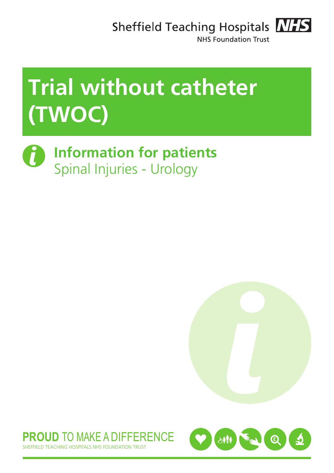Sheffield Teaching Hospitals **NHS** 



NHS Foundation Trust

# **Trial without catheter (TWOC)**

**Information for patients** Spinal Injuries - Urology





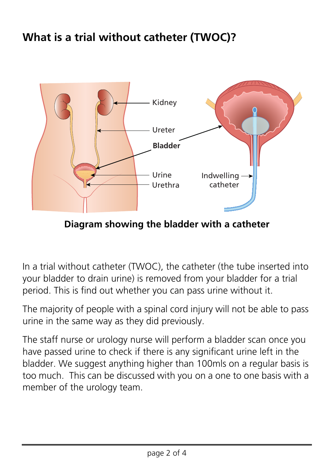### **What is a trial without catheter (TWOC)?**



**Diagram showing the bladder with a catheter**

In a trial without catheter (TWOC), the catheter (the tube inserted into your bladder to drain urine) is removed from your bladder for a trial period. This is find out whether you can pass urine without it.

The majority of people with a spinal cord injury will not be able to pass urine in the same way as they did previously.

The staff nurse or urology nurse will perform a bladder scan once you have passed urine to check if there is any significant urine left in the bladder. We suggest anything higher than 100mls on a regular basis is too much. This can be discussed with you on a one to one basis with a member of the urology team.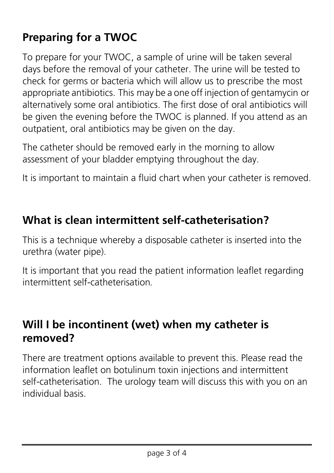## **Preparing for a TWOC**

To prepare for your TWOC, a sample of urine will be taken several days before the removal of your catheter. The urine will be tested to check for germs or bacteria which will allow us to prescribe the most appropriate antibiotics. This may be a one off injection of gentamycin or alternatively some oral antibiotics. The first dose of oral antibiotics will be given the evening before the TWOC is planned. If you attend as an outpatient, oral antibiotics may be given on the day.

The catheter should be removed early in the morning to allow assessment of your bladder emptying throughout the day.

It is important to maintain a fluid chart when your catheter is removed.

#### **What is clean intermittent self-catheterisation?**

This is a technique whereby a disposable catheter is inserted into the urethra (water pipe).

It is important that you read the patient information leaflet regarding intermittent self-catheterisation*.*

#### **Will I be incontinent (wet) when my catheter is removed?**

There are treatment options available to prevent this. Please read the information leaflet on botulinum toxin injections and intermittent self-catheterisation. The urology team will discuss this with you on an individual basis.